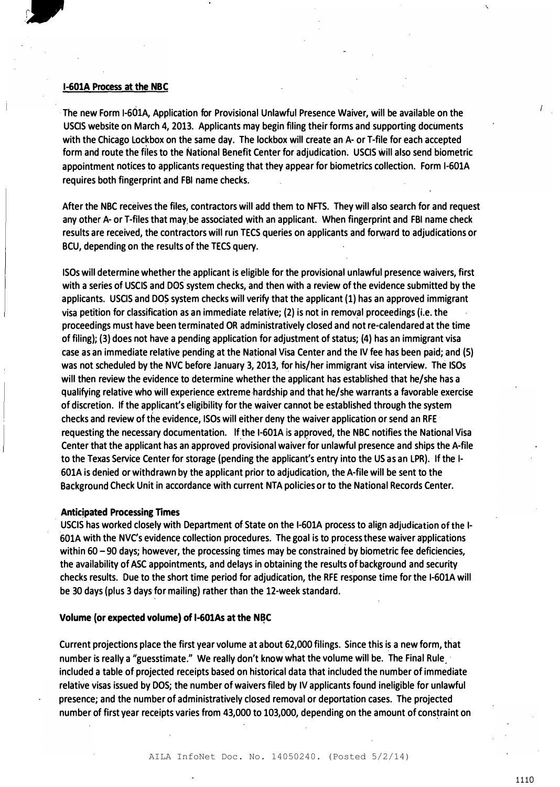#### I-601A Process at the NBC

••

The new Form I-601A, Application for Provisional Unlawful Presence Waiver, will be available on the USCIS website on March 4, 2013. Applicants may begin filing their forms and supporting documents with the Chicago Lockbox on the same day. The lockbox will create an A- or T-file for each accepted form and route the files to the National Benefit Center for adjudication. USCIS will also send biometric appointment notices to applicants requesting that they appear for biometrics collection. Form I-601A requires both fingerprint and FBI name checks.

After the NBC receives the files, contractors will add them to NFTS. They will also search for and request any other A- or T-files that may be associated with an applicant. When fingerprint and FBI name check results are received, the contractors will run TECS queries on applicants and forward to adjudications or BCU, depending on the results of the TECS query.

ISOs will determine whether the applicant is eligible for the provisional unlawful presence waivers, first with a series of USCIS and DOS system checks, and then with a review of the evidence submitted by the applicants. USCIS and DOS system checks will verify that the applicant (1) has an approved immigrant visa petition for classification as an immediate relati�e; {2) is not in removal proceedings {i.e. the proceedings must have been terminated OR administratively closed and not re-calendared at the time of filing); {3) does not have a pending application for adjustment of status; (4) has an immigrant visa case as an immediate relative pending at the Na�ional Visa Center and the IV fee has been paid; and (5) was not scheduled by the NVC before January 3, 2013, for his/her immigrant visa interview. The ISOs will then review the evidence to determine whether the applicant has established that he/she has a qualifying relative who will experience extreme·hardship and that he/she warrants a favorable exercise of discretion. If the applicant's eligibility for the waiver cannot be established through the system checks and review of the evidence, ISOs will either deny the waiver application or send an RFE · requesting the necessary documentation. If the I-601A is approved, the NBC notifies the National Visa Center that the applicant has an approved provisional waiver for unlawful presence and ships the A-file to the Texas Service Center for storage (pending the applicant's entry into the US as an LPR). If the I-601A is denied or withdrawn by the applicant prior to adjudication, the A-file will be sent to the Background Check Unit in accordance with current NTA policies or to the National Records Center.

#### **Anticipated Processing Times**

USCIS has worked closely with Department of State on the I-601A process to align adjudication of the I-601A with the NVC's evidence collection procedures. The goal is to process these waiver applications within  $60 - 90$  days; however, the processing times may be constrained by biometric fee deficiencies, the availability of ASC appointments, and delays in obtaining the results of background and security checks results. Due to the short time period for adjudication, the RFE response time for the 1-601A will be 30 days {plus 3 days for mailing) rather than the 12-week standard.

#### Volume (or expected volume) of I-601As at the N�C

Current projections place the first year volume at about 62,000 filings. Since this is a new form, that number is really a "guesstimate." We really don't know what the volume will be. The Final Rule included a table of projected receipts based on historical data that included the number of immediate relative visas issued by DOS; the number of waivers filed by IV applicants found ineligible for unlawful presence; and the number of administratively closed removal or deportation cases. The projected number of first year receipts varies from 43,000 to 103,000, depending on the amount of constraint on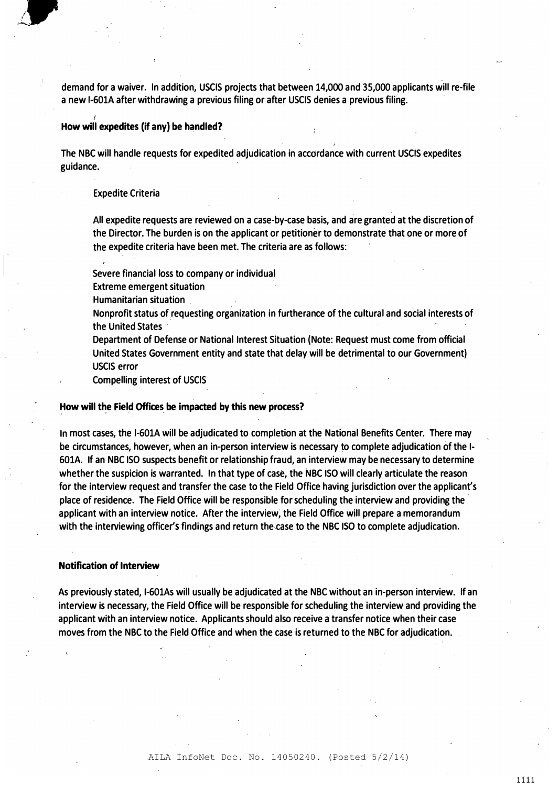demand for a waiver. In addition, USCIS projects that between 14,000 and 35,000 applicants will re-file a new I-601A after withdrawing a previous filing or after USCIS denies a previous filing.

#### How will expedites (if any) be handled?

The NBC will handle requests for expedited adjudication in accordance with current USCIS expedites guidance.

#### Expedite Criteria

(

I

All expedite requests are reviewed on a case-by-case basis, and are granted at the discretion of the Director. The burden is on the applicant or petitioner to demonstrate that one or more of the expedite criteria have been met. The criteria are as follows:

I

Severe financial loss to company or individual

Extreme emergent situation

Humanitarian situation

Nonprofit status of requesting organization in furtherance of the cultural and social interests of the United States

Department of Defense or National Interest Situation (Note: Request must come from official United States Government entity and state that delay will be detrimental to our Government) USCIS error

Compelling interest of USCIS

#### How will the Field Offices be impacted by this new process?

In most cases, the I-601A will be adjudicated to completion at the National Benefits Center. There may be circumstances, however, when an in-person interview is necessary to complete adjudication of the I-601A. If an NBC ISO suspects benefit or relationship fraud, an interview may be necessary to determine whether the suspicion is warranted. In that type of case, the NBC ISO will clearly articulate the reason for the interview request and transfer the case to the Field Office having jurisdiction over the applicant's place of residence. The Field Office will be responsible for scheduling the interview and providing the applicant with an interview notice. After the interview; the Field Office will prepare a memorandum with the interviewing officer's findings and return the,case to the NBC ISO to complete adjudication.

#### Notification of Interview

As previously stated, I-601As will usually be adjudicated at the NBC without an in-person interview. If an interview is necessary, the Field Office will be responsible for scheduling the interview and providing the applicant with an interview notice. Applicants should also receive a transfer notice when their case moves from the NBC to the Field Office and when the case is returned to the NBC for adjudication.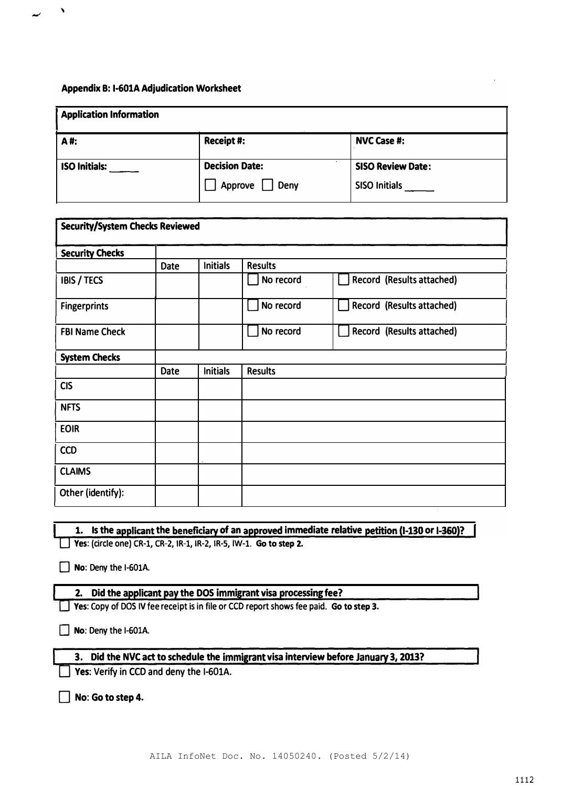'

| <b>Application Information</b> |                       |                          |  |  |  |
|--------------------------------|-----------------------|--------------------------|--|--|--|
| A#:                            | Receipt#:             | <b>NVC Case #:</b>       |  |  |  |
| <b>ISO Initials:</b>           | <b>Decision Date:</b> | <b>SISO Review Date:</b> |  |  |  |
|                                | Deny<br>Approve       | SISO Initials            |  |  |  |

| <b>Security/System Checks Reviewed</b> |             |                 |                |                           |  |
|----------------------------------------|-------------|-----------------|----------------|---------------------------|--|
| <b>Security Checks</b>                 |             |                 |                |                           |  |
|                                        | <b>Date</b> | <b>Initials</b> | <b>Results</b> |                           |  |
| <b>IBIS / TECS</b>                     |             |                 | No record      | Record (Results attached) |  |
| <b>Fingerprints</b>                    |             |                 | No record      | Record (Results attached) |  |
| <b>FBI Name Check</b>                  |             |                 | No record      | Record (Results attached) |  |
| <b>System Checks</b>                   |             |                 |                |                           |  |
|                                        | <b>Date</b> | <b>Initials</b> | <b>Results</b> |                           |  |
| <b>CIS</b>                             |             |                 |                |                           |  |
| <b>NFTS</b>                            |             |                 |                |                           |  |
| <b>EOIR</b>                            |             |                 |                |                           |  |
| <b>CCD</b>                             |             |                 |                |                           |  |
| <b>CLAIMS</b>                          |             |                 |                |                           |  |
| Other (identify):                      |             |                 |                |                           |  |

|  |  | 1. Is the applicant the beneficiary of an approved immediate relative petition (1-130 or I-360)? |  |  |  |  |
|--|--|--------------------------------------------------------------------------------------------------|--|--|--|--|
|  |  |                                                                                                  |  |  |  |  |
|  |  |                                                                                                  |  |  |  |  |

D Yes: (circle one) CR-1, CR-2, IR-1, IR-2, IR-5, IW-1. Go to step 2.

 $\Box$  No: Deny the I-601A.

## 2. Did the applicant pay the DOS immigrant visa processing fee?

 $\Box$  Yes: Copy of DOS IV fee receipt is in file or CCD report shows fee paid. Go to step 3.

 $\Box$  No: Deny the I-601A.

## 3. Did the NVC act to schedule the immigrant visa interview before January 3, 2013?

 $\Box$  Yes: Verify in CCD and deny the I-601A.

No: Go to step 4.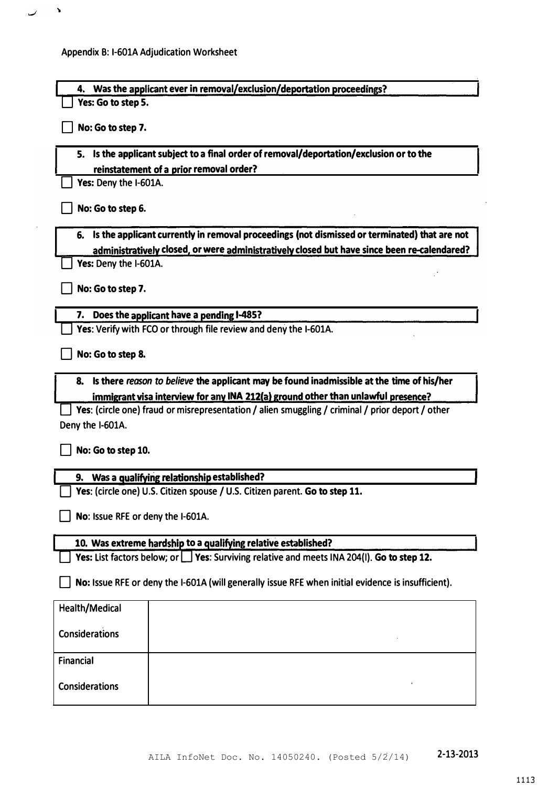$\mathcal{A}$ 

 $\overline{\phantom{0}}$ 

| 4. Was the applicant ever in removal/exclusion/deportation proceedings?                            |
|----------------------------------------------------------------------------------------------------|
| Yes: Go to step 5.                                                                                 |
| No: Go to step 7.                                                                                  |
| 5. Is the applicant subject to a final order of removal/deportation/exclusion or to the            |
| reinstatement of a prior removal order?                                                            |
| Yes: Deny the I-601A.                                                                              |
| No: Go to step 6.                                                                                  |
| Is the applicant currently in removal proceedings (not dismissed or terminated) that are not<br>6. |
| administratively closed, or were administratively closed but have since been re-calendared?        |
| Yes: Deny the I-601A.                                                                              |
| No: Go to step 7.                                                                                  |
| Does the applicant have a pending I-485?<br>7.                                                     |
| Yes: Verify with FCO or through file review and deny the I-601A.                                   |
| No: Go to step 8.                                                                                  |
| Is there reason to believe the applicant may be found inadmissible at the time of his/her<br>8.    |
| immigrant visa interview for any INA 212(a) ground other than unlawful presence?                   |
| Yes: (circle one) fraud or misrepresentation / alien smuggling / criminal / prior deport / other   |
| Deny the I-601A.                                                                                   |
| No: Go to step 10.                                                                                 |
| 9. Was a qualifying relationship established?                                                      |
| $\overline{ }$ Yes: (circle one) U.S. Citizen spouse / U.S. Citizen parent. Go to step 11.         |
| No: Issue RFE or deny the I-601A.                                                                  |
| 10. Was extreme hardship to a qualifying relative established?                                     |
| Yes: List factors below; or $\Box$ Yes: Surviving relative and meets INA 204(I). Go to step 12.    |
| No: Issue RFE or deny the I-601A (will generally issue RFE when initial evidence is insufficient). |
| Health/Medical                                                                                     |
| <b>Considerations</b>                                                                              |
| <b>Financial</b>                                                                                   |
| <b>Considerations</b>                                                                              |

1113

 $\ddot{\phantom{a}}$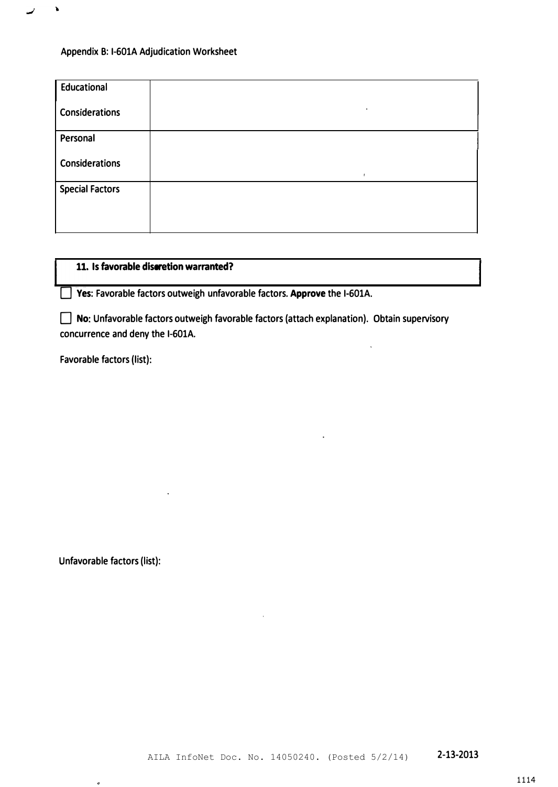$\pmb{\lambda}$ 

كمعنا

| Educational            |           |
|------------------------|-----------|
| Considerations         | $\bullet$ |
| Personal               |           |
| <b>Considerations</b>  |           |
| <b>Special Factors</b> |           |
|                        |           |

## 11. Is favorable discretion warranted?

**D** Yes: Favorable factors outweigh unfavorable factors. Approve the I-601A.

 $\Box$  No: Unfavorable factors outweigh favorable factors (attach explanation). Obtain supervisory concurrence and deny the I-601A.

Favorable factors {list):

Unfavorable factors (list):

.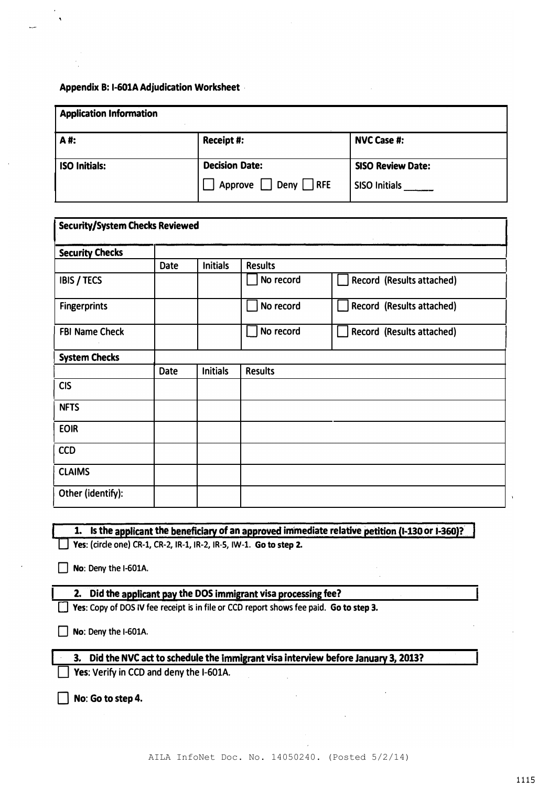| <b>Application Information</b> |                       |                          |  |  |  |  |
|--------------------------------|-----------------------|--------------------------|--|--|--|--|
| A#:                            | Receipt #:            | <b>NVC Case #:</b>       |  |  |  |  |
| <b>ISO Initials:</b>           | <b>Decision Date:</b> | <b>SISO Review Date:</b> |  |  |  |  |
|                                | Deny   RFE<br>Approve | <b>SISO Initials</b>     |  |  |  |  |

| Security/System Checks Reviewed |             |                 |                |                           |  |  |
|---------------------------------|-------------|-----------------|----------------|---------------------------|--|--|
| <b>Security Checks</b>          |             |                 |                |                           |  |  |
|                                 | <b>Date</b> | <b>Initials</b> | <b>Results</b> |                           |  |  |
| <b>IBIS / TECS</b>              |             |                 | No record      | Record (Results attached) |  |  |
| <b>Fingerprints</b>             |             |                 | No record      | Record (Results attached) |  |  |
| <b>FBI Name Check</b>           |             |                 | No record      | Record (Results attached) |  |  |
| <b>System Checks</b>            |             |                 |                |                           |  |  |
|                                 | <b>Date</b> | <b>Initials</b> | <b>Results</b> |                           |  |  |
| <b>CIS</b>                      |             |                 |                |                           |  |  |
| <b>NFTS</b>                     |             |                 |                |                           |  |  |
| <b>EOIR</b>                     |             |                 |                |                           |  |  |
| <b>CCD</b>                      |             |                 |                |                           |  |  |
| <b>CLAIMS</b>                   |             |                 |                |                           |  |  |
| Other (identify):               |             |                 |                |                           |  |  |

|  | 1. Is the applicant the beneficiary of an approved immediate relative petition (1-130 or 1-360)? |
|--|--------------------------------------------------------------------------------------------------|
|  | Yes: (circle one) CR-1, CR-2, IR-1, IR-2, IR-5, IW-1. Go to step 2.                              |

 $\Box$  No: Deny the I-601A.

## 2. Did the applicant pay the DOS immigrant visa processing fee?

 $\Box$  Yes: Copy of DOS IV fee receipt is in file or CCD report shows fee paid. Go to step 3.

 $\Box$  No: Deny the I-601A.

## 3. Did the NVC act to schedule the immigrant visa interview before January 3, 2013?

Yes: Verify in CCD and deny the I-601A.

 $\Box$  No: Go to step 4.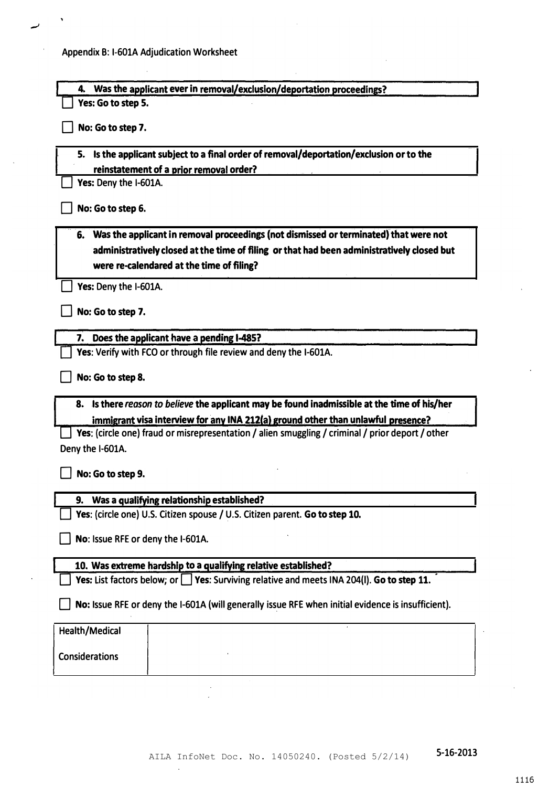×

| Was the applicant ever in removal/exclusion/deportation proceedings?<br>4.                         |
|----------------------------------------------------------------------------------------------------|
| Yes: Go to step 5.                                                                                 |
| No: Go to step 7.                                                                                  |
| 5. Is the applicant subject to a final order of removal/deportation/exclusion or to the            |
| reinstatement of a prior removal order?                                                            |
| Yes: Deny the I-601A.                                                                              |
| No: Go to step 6.                                                                                  |
| Was the applicant in removal proceedings (not dismissed or terminated) that were not<br>6.         |
| administratively closed at the time of filing or that had been administratively closed but         |
| were re-calendared at the time of filing?                                                          |
| Yes: Deny the I-601A.                                                                              |
| No: Go to step 7.                                                                                  |
| Does the applicant have a pending 1-485?<br>7.                                                     |
| Yes: Verify with FCO or through file review and deny the I-601A.                                   |
| No: Go to step 8.                                                                                  |
| 8. Is there reason to believe the applicant may be found inadmissible at the time of his/her       |
| immigrant visa interview for any INA 212(a) ground other than unlawful presence?                   |
| Yes: (circle one) fraud or misrepresentation / alien smuggling / criminal / prior deport / other   |
| Deny the I-601A.                                                                                   |
| No: Go to step 9.                                                                                  |
| Was a qualifying relationship established?<br>9.                                                   |
| Yes: (circle one) U.S. Citizen spouse / U.S. Citizen parent. Go to step 10.                        |
| No: Issue RFE or deny the I-601A.                                                                  |
| 10. Was extreme hardship to a qualifying relative established?                                     |
| Yes: List factors below; or $\Box$ Yes: Surviving relative and meets INA 204(I). Go to step 11.    |
| No: Issue RFE or deny the I-601A (will generally issue RFE when initial evidence is insufficient). |
| Health/Medical                                                                                     |
| <b>Considerations</b>                                                                              |
|                                                                                                    |

 $\ddot{\phantom{0}}$ 

1116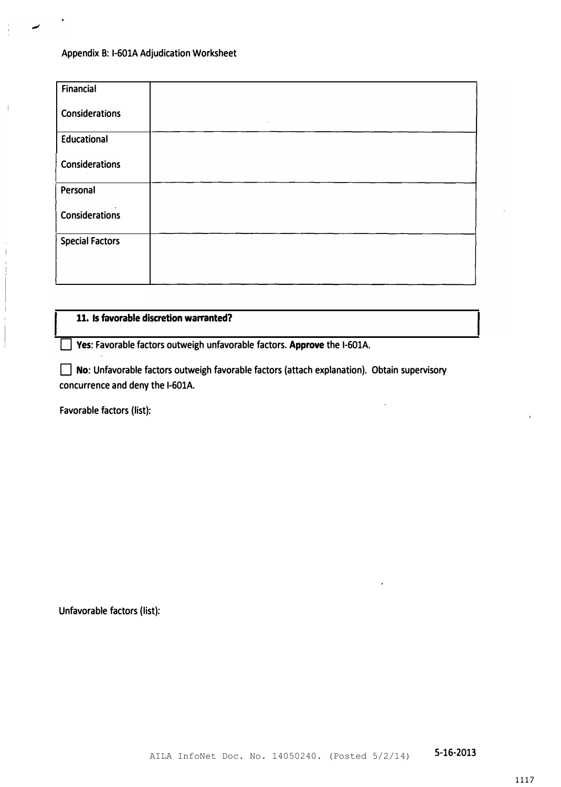$\frac{1}{4}$ 

 $\mathcal{I}$ 

| Financial              |            |
|------------------------|------------|
| <b>Considerations</b>  | $\sim 100$ |
| <b>Educational</b>     |            |
| <b>Considerations</b>  |            |
| Personal               |            |
| <b>Considerations</b>  |            |
| <b>Special Factors</b> |            |
|                        |            |

## 11. Is favorable discretion warranted?

D Yes: Favorable factors outweigh unfavorable factors. Approve the I-601A.

D No: Unfavorable factors outweigh favorable factors (attach explanation). Obtain supervisory concurrence and deny the I-601A.

Favorable factors (list):

Unfavorable factors (list):